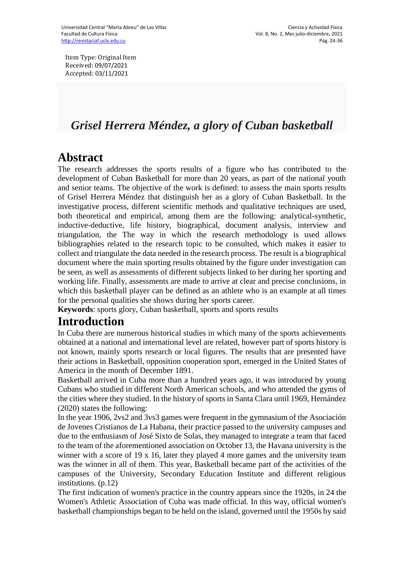Item Type: Original Item Received: 09/07/2021 Accepted: 03/11/2021

# *Grisel Herrera Méndez, a glory of Cuban basketball*

# **Abstract**

The research addresses the sports results of a figure who has contributed to the development of Cuban Basketball for more than 20 years, as part of the national youth and senior teams. The objective of the work is defined: to assess the main sports results of Grisel Herrera Méndez that distinguish her as a glory of Cuban Basketball. In the investigative process, different scientific methods and qualitative techniques are used, both theoretical and empirical, among them are the following: analytical-synthetic, inductive-deductive, life history, biographical, document analysis, interview and triangulation, the The way in which the research methodology is used allows bibliographies related to the research topic to be consulted, which makes it easier to collect and triangulate the data needed in the research process. The result is a biographical document where the main sporting results obtained by the figure under investigation can be seen, as well as assessments of different subjects linked to her during her sporting and working life. Finally, assessments are made to arrive at clear and precise conclusions, in which this basketball player can be defined as an athlete who is an example at all times for the personal qualities she shows during her sports career.

**Keywords**: sports glory, Cuban basketball, sports and sports results

### **Introduction**

In Cuba there are numerous historical studies in which many of the sports achievements obtained at a national and international level are related, however part of sports history is not known, mainly sports research or local figures. The results that are presented have their actions in Basketball, opposition cooperation sport, emerged in the United States of America in the month of December 1891.

Basketball arrived in Cuba more than a hundred years ago, it was introduced by young Cubans who studied in different North American schools, and who attended the gyms of the cities where they studied. In the history of sports in Santa Clara until 1969, Hernández (2020) states the following:

In the year 1906, 2vs2 and 3vs3 games were frequent in the gymnasium of the Asociación de Jovenes Cristianos de La Habana, their practice passed to the university campuses and due to the enthusiasm of José Sixto de Solas, they managed to integrate a team that faced to the team of the aforementioned association on October 13, the Havana university is the winner with a score of 19 x 16, later they played 4 more games and the university team was the winner in all of them. This year, Basketball became part of the activities of the campuses of the University, Secondary Education Institute and different religious institutions. (p.12)

The first indication of women's practice in the country appears since the 1920s, in 24 the Women's Athletic Association of Cuba was made official. In this way, official women's basketball championships began to be held on the island, governed until the 1950s by said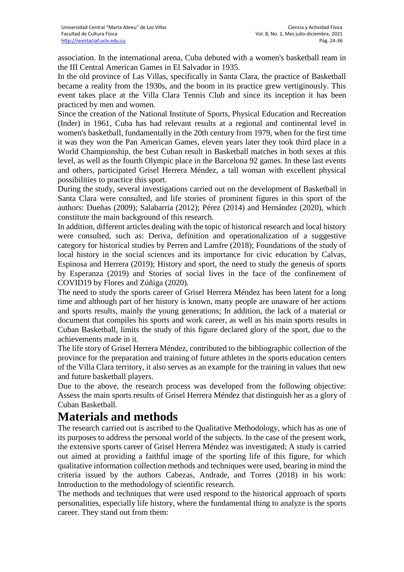association. In the international arena, Cuba debuted with a women's basketball team in the III Central American Games in El Salvador in 1935.

In the old province of Las Villas, specifically in Santa Clara, the practice of Basketball became a reality from the 1930s, and the boom in its practice grew vertiginously. This event takes place at the Villa Clara Tennis Club and since its inception it has been practiced by men and women.

Since the creation of the National Institute of Sports, Physical Education and Recreation (Inder) in 1961, Cuba has had relevant results at a regional and continental level in women's basketball, fundamentally in the 20th century from 1979, when for the first time it was they won the Pan American Games, eleven years later they took third place in a World Championship, the best Cuban result in Basketball matches in both sexes at this level, as well as the fourth Olympic place in the Barcelona 92 games. In these last events and others, participated Grisel Herrera Méndez, a tall woman with excellent physical possibilities to practice this sport.

During the study, several investigations carried out on the development of Basketball in Santa Clara were consulted, and life stories of prominent figures in this sport of the authors: Dueñas (2009); Salabarria (2012); Pérez (2014) and Hernández (2020), which constitute the main background of this research.

In addition, different articles dealing with the topic of historical research and local history were consulted, such as: Deriva, definition and operationalization of a suggestive category for historical studies by Perren and Lamfre (2018); Foundations of the study of local history in the social sciences and its importance for civic education by Calvas, Espinosa and Herrera (2019); History and sport, the need to study the genesis of sports by Esperanza (2019) and Stories of social lives in the face of the confinement of COVID19 by Flores and Zúñiga (2020).

The need to study the sports career of Grisel Herrera Méndez has been latent for a long time and although part of her history is known, many people are unaware of her actions and sports results, mainly the young generations; In addition, the lack of a material or document that compiles his sports and work career, as well as his main sports results in Cuban Basketball, limits the study of this figure declared glory of the sport, due to the achievements made in it.

The life story of Grisel Herrera Méndez, contributed to the bibliographic collection of the province for the preparation and training of future athletes in the sports education centers of the Villa Clara territory, it also serves as an example for the training in values that new and future basketball players.

Due to the above, the research process was developed from the following objective: Assess the main sports results of Grisel Herrera Méndez that distinguish her as a glory of Cuban Basketball.

## **Materials and methods**

The research carried out is ascribed to the Qualitative Methodology, which has as one of its purposes to address the personal world of the subjects. In the case of the present work, the extensive sports career of Grisel Herrera Méndez was investigated; A study is carried out aimed at providing a faithful image of the sporting life of this figure, for which qualitative information collection methods and techniques were used, bearing in mind the criteria issued by the authors Cabezas, Andrade, and Torres (2018) in his work: Introduction to the methodology of scientific research.

The methods and techniques that were used respond to the historical approach of sports personalities, especially life history, where the fundamental thing to analyze is the sports career. They stand out from them: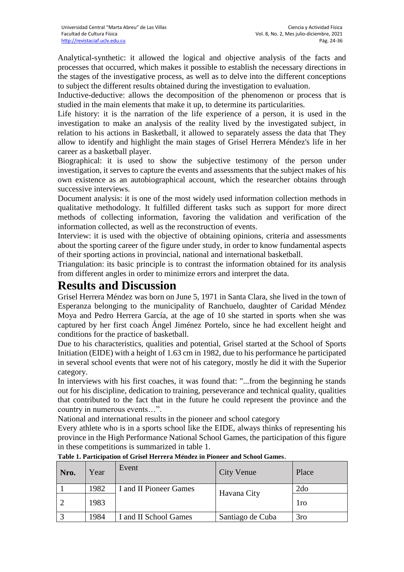Analytical-synthetic: it allowed the logical and objective analysis of the facts and processes that occurred, which makes it possible to establish the necessary directions in the stages of the investigative process, as well as to delve into the different conceptions to subject the different results obtained during the investigation to evaluation.

Inductive-deductive: allows the decomposition of the phenomenon or process that is studied in the main elements that make it up, to determine its particularities.

Life history: it is the narration of the life experience of a person, it is used in the investigation to make an analysis of the reality lived by the investigated subject, in relation to his actions in Basketball, it allowed to separately assess the data that They allow to identify and highlight the main stages of Grisel Herrera Méndez's life in her career as a basketball player.

Biographical: it is used to show the subjective testimony of the person under investigation, it serves to capture the events and assessments that the subject makes of his own existence as an autobiographical account, which the researcher obtains through successive interviews.

Document analysis: it is one of the most widely used information collection methods in qualitative methodology. It fulfilled different tasks such as support for more direct methods of collecting information, favoring the validation and verification of the information collected, as well as the reconstruction of events.

Interview: it is used with the objective of obtaining opinions, criteria and assessments about the sporting career of the figure under study, in order to know fundamental aspects of their sporting actions in provincial, national and international basketball.

Triangulation: its basic principle is to contrast the information obtained for its analysis from different angles in order to minimize errors and interpret the data.

### **Results and Discussion**

Grisel Herrera Méndez was born on June 5, 1971 in Santa Clara, she lived in the town of Esperanza belonging to the municipality of Ranchuelo, daughter of Caridad Méndez Moya and Pedro Herrera García, at the age of 10 she started in sports when she was captured by her first coach Ángel Jiménez Portelo, since he had excellent height and conditions for the practice of basketball.

Due to his characteristics, qualities and potential, Grisel started at the School of Sports Initiation (EIDE) with a height of 1.63 cm in 1982, due to his performance he participated in several school events that were not of his category, mostly he did it with the Superior category.

In interviews with his first coaches, it was found that: "...from the beginning he stands out for his discipline, dedication to training, perseverance and technical quality, qualities that contributed to the fact that in the future he could represent the province and the country in numerous events…".

National and international results in the pioneer and school category

Every athlete who is in a sports school like the EIDE, always thinks of representing his province in the High Performance National School Games, the participation of this figure in these competitions is summarized in table 1.

| Nro. | Year | Event                  | <b>City Venue</b> | Place           |
|------|------|------------------------|-------------------|-----------------|
|      | 1982 | I and II Pioneer Games | Havana City       | 2d <sub>o</sub> |
|      | 1983 |                        |                   | 1ro             |
|      | 1984 | and II School Games    | Santiago de Cuba  | 3 <sub>ro</sub> |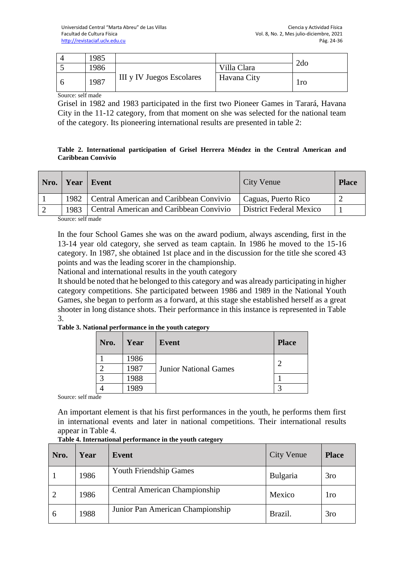| .985 |                           |             | 2d <sub>o</sub> |
|------|---------------------------|-------------|-----------------|
| 1986 |                           | Villa Clara |                 |
| 1987 | III y IV Juegos Escolares | Havana City | 1ro             |

Source: self made

Grisel in 1982 and 1983 participated in the first two Pioneer Games in Tarará, Havana City in the 11-12 category, from that moment on she was selected for the national team of the category. Its pioneering international results are presented in table 2:

#### **Table 2. International participation of Grisel Herrera Méndez in the Central American and Caribbean Convivio**

|      | Nro.   Year   Event                            | City Venue              | <b>Place</b> |
|------|------------------------------------------------|-------------------------|--------------|
| 1982 | Central American and Caribbean Convivio        | Caguas, Puerto Rico     |              |
| 1983 | <b>Central American and Caribbean Convivio</b> | District Federal Mexico |              |

Source: self made

In the four School Games she was on the award podium, always ascending, first in the 13-14 year old category, she served as team captain. In 1986 he moved to the 15-16 category. In 1987, she obtained 1st place and in the discussion for the title she scored 43 points and was the leading scorer in the championship.

National and international results in the youth category

It should be noted that he belonged to this category and was already participating in higher category competitions. She participated between 1986 and 1989 in the National Youth Games, she began to perform as a forward, at this stage she established herself as a great shooter in long distance shots. Their performance in this instance is represented in Table 3.

#### **Table 3. National performance in the youth category**

| Nro. | Year         | Event                        | <b>Place</b> |
|------|--------------|------------------------------|--------------|
|      | 1986<br>1987 | <b>Junior National Games</b> | ◠            |
|      | 1988         |                              |              |
|      | 1989         |                              |              |

Source: self made

An important element is that his first performances in the youth, he performs them first in international events and later in national competitions. Their international results appear in Table 4.

| Nro. | Year | Event                                | <b>City Venue</b> | <b>Place</b>    |
|------|------|--------------------------------------|-------------------|-----------------|
|      | 1986 | <b>Youth Friendship Games</b>        | Bulgaria          | 3 <sub>ro</sub> |
|      | 1986 | <b>Central American Championship</b> | Mexico            | 1ro             |
| 6    | 1988 | Junior Pan American Championship     | Brazil.           | 3 <sub>ro</sub> |

### **Table 4. International performance in the youth category**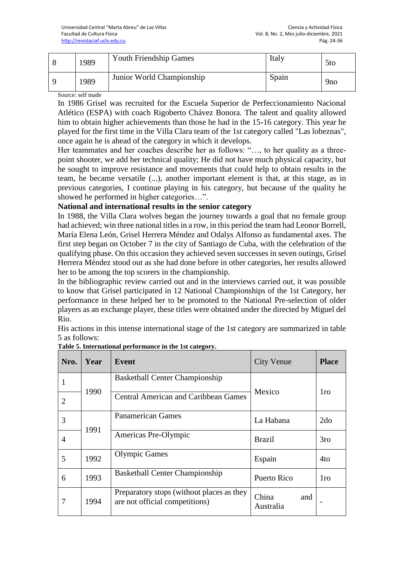| 1989 | <b>Youth Friendship Games</b> | Italy | 5 <sub>to</sub> |
|------|-------------------------------|-------|-----------------|
| 1989 | Junior World Championship     | Spain | 9 <sub>no</sub> |

Source: self made

In 1986 Grisel was recruited for the Escuela Superior de Perfeccionamiento Nacional Atlético (ESPA) with coach Rigoberto Chávez Bonora. The talent and quality allowed him to obtain higher achievements than those he had in the 15-16 category. This year he played for the first time in the Villa Clara team of the 1st category called "Las lobeznas", once again he is ahead of the category in which it develops.

Her teammates and her coaches describe her as follows: "…, to her quality as a threepoint shooter, we add her technical quality; He did not have much physical capacity, but he sought to improve resistance and movements that could help to obtain results in the team, he became versatile (...), another important element is that, at this stage, as in previous categories, I continue playing in his category, but because of the quality he showed he performed in higher categories…".

### **National and international results in the senior category**

In 1988, the Villa Clara wolves began the journey towards a goal that no female group had achieved; win three national titles in a row, in this period the team had Leonor Borrell, María Elena León, Grisel Herrera Méndez and Odalys Alfonso as fundamental axes. The first step began on October 7 in the city of Santiago de Cuba, with the celebration of the qualifying phase. On this occasion they achieved seven successes in seven outings, Grisel Herrera Méndez stood out as she had done before in other categories, her results allowed her to be among the top scorers in the championship.

In the bibliographic review carried out and in the interviews carried out, it was possible to know that Grisel participated in 12 National Championships of the 1st Category, her performance in these helped her to be promoted to the National Pre-selection of older players as an exchange player, these titles were obtained under the directed by Miguel del Rio.

His actions in this intense international stage of the 1st category are summarized in table 5 as follows:

| Nro.           | Year | Event                                                                       | <b>City Venue</b>         | <b>Place</b>    |
|----------------|------|-----------------------------------------------------------------------------|---------------------------|-----------------|
| 1              |      | <b>Basketball Center Championship</b>                                       |                           |                 |
| $\overline{2}$ | 1990 | <b>Central American and Caribbean Games</b>                                 | Mexico                    | 1ro             |
| 3              |      | <b>Panamerican Games</b>                                                    | La Habana                 | 2do             |
| 4              | 1991 | Americas Pre-Olympic                                                        | <b>Brazil</b>             | 3 <sub>ro</sub> |
| 5              | 1992 | <b>Olympic Games</b>                                                        | Espain                    | 4to             |
| 6              | 1993 | <b>Basketball Center Championship</b>                                       | Puerto Rico               | 1 <sub>ro</sub> |
| 7              | 1994 | Preparatory stops (without places as they<br>are not official competitions) | China<br>and<br>Australia |                 |

| Table 5. International performance in the 1st category. |  |  |
|---------------------------------------------------------|--|--|
|                                                         |  |  |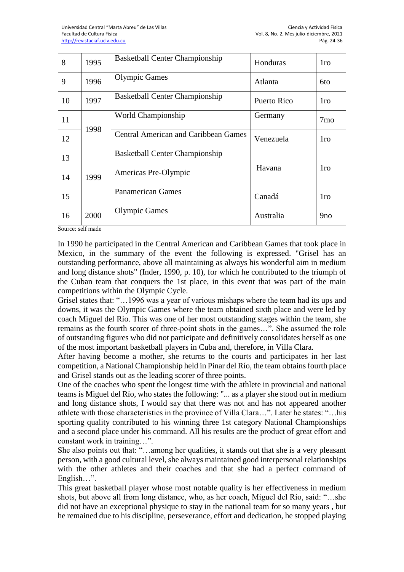| 8  | 1995 | <b>Basketball Center Championship</b>       | Honduras    | 1 <sub>ro</sub> |
|----|------|---------------------------------------------|-------------|-----------------|
| 9  | 1996 | <b>Olympic Games</b>                        | Atlanta     | 6to             |
| 10 | 1997 | <b>Basketball Center Championship</b>       | Puerto Rico | <sub>1</sub> ro |
| 11 | 1998 | World Championship                          | Germany     | 7 <sub>mo</sub> |
| 12 |      | <b>Central American and Caribbean Games</b> | Venezuela   | 1 <sub>ro</sub> |
| 13 |      | <b>Basketball Center Championship</b>       |             |                 |
| 14 | 1999 | Americas Pre-Olympic                        | Havana      | 1 <sub>ro</sub> |
| 15 |      | <b>Panamerican Games</b>                    | Canadá      | 1ro             |
| 16 | 2000 | <b>Olympic Games</b>                        | Australia   | 9 <sub>no</sub> |

Source: self made

In 1990 he participated in the Central American and Caribbean Games that took place in Mexico, in the summary of the event the following is expressed. "Grisel has an outstanding performance, above all maintaining as always his wonderful aim in medium and long distance shots" (Inder, 1990, p. 10), for which he contributed to the triumph of the Cuban team that conquers the 1st place, in this event that was part of the main competitions within the Olympic Cycle.

Grisel states that: "…1996 was a year of various mishaps where the team had its ups and downs, it was the Olympic Games where the team obtained sixth place and were led by coach Miguel del Río. This was one of her most outstanding stages within the team, she remains as the fourth scorer of three-point shots in the games…". She assumed the role of outstanding figures who did not participate and definitively consolidates herself as one of the most important basketball players in Cuba and, therefore, in Villa Clara.

After having become a mother, she returns to the courts and participates in her last competition, a National Championship held in Pinar del Río, the team obtains fourth place and Grisel stands out as the leading scorer of three points.

One of the coaches who spent the longest time with the athlete in provincial and national teams is Miguel del Río, who states the following: "... as a player she stood out in medium and long distance shots, I would say that there was not and has not appeared another athlete with those characteristics in the province of Villa Clara…". Later he states: "…his sporting quality contributed to his winning three 1st category National Championships and a second place under his command. All his results are the product of great effort and constant work in training…".

She also points out that: "…among her qualities, it stands out that she is a very pleasant person, with a good cultural level, she always maintained good interpersonal relationships with the other athletes and their coaches and that she had a perfect command of English…".

This great basketball player whose most notable quality is her effectiveness in medium shots, but above all from long distance, who, as her coach, Miguel del Río, said: "…she did not have an exceptional physique to stay in the national team for so many years , but he remained due to his discipline, perseverance, effort and dedication, he stopped playing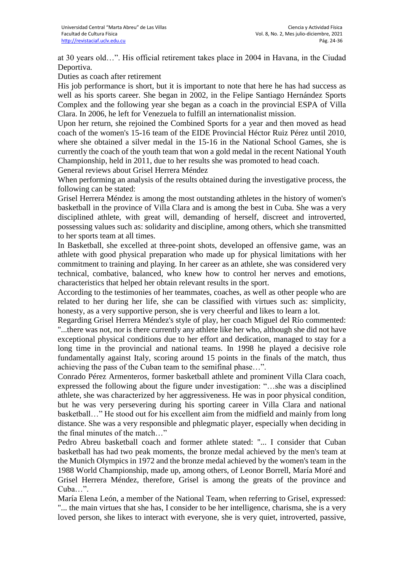at 30 years old…". His official retirement takes place in 2004 in Havana, in the Ciudad Deportiva.

Duties as coach after retirement

His job performance is short, but it is important to note that here he has had success as well as his sports career. She began in 2002, in the Felipe Santiago Hernández Sports Complex and the following year she began as a coach in the provincial ESPA of Villa Clara. In 2006, he left for Venezuela to fulfill an internationalist mission.

Upon her return, she rejoined the Combined Sports for a year and then moved as head coach of the women's 15-16 team of the EIDE Provincial Héctor Ruiz Pérez until 2010, where she obtained a silver medal in the 15-16 in the National School Games, she is currently the coach of the youth team that won a gold medal in the recent National Youth Championship, held in 2011, due to her results she was promoted to head coach.

General reviews about Grisel Herrera Méndez

When performing an analysis of the results obtained during the investigative process, the following can be stated:

Grisel Herrera Méndez is among the most outstanding athletes in the history of women's basketball in the province of Villa Clara and is among the best in Cuba. She was a very disciplined athlete, with great will, demanding of herself, discreet and introverted, possessing values such as: solidarity and discipline, among others, which she transmitted to her sports team at all times.

In Basketball, she excelled at three-point shots, developed an offensive game, was an athlete with good physical preparation who made up for physical limitations with her commitment to training and playing. In her career as an athlete, she was considered very technical, combative, balanced, who knew how to control her nerves and emotions, characteristics that helped her obtain relevant results in the sport.

According to the testimonies of her teammates, coaches, as well as other people who are related to her during her life, she can be classified with virtues such as: simplicity, honesty, as a very supportive person, she is very cheerful and likes to learn a lot.

Regarding Grisel Herrera Méndez's style of play, her coach Miguel del Río commented: "...there was not, nor is there currently any athlete like her who, although she did not have exceptional physical conditions due to her effort and dedication, managed to stay for a long time in the provincial and national teams. In 1998 he played a decisive role fundamentally against Italy, scoring around 15 points in the finals of the match, thus achieving the pass of the Cuban team to the semifinal phase…".

Conrado Pérez Armenteros, former basketball athlete and prominent Villa Clara coach, expressed the following about the figure under investigation: "…she was a disciplined athlete, she was characterized by her aggressiveness. He was in poor physical condition, but he was very persevering during his sporting career in Villa Clara and national basketball…" He stood out for his excellent aim from the midfield and mainly from long distance. She was a very responsible and phlegmatic player, especially when deciding in the final minutes of the match…"

Pedro Abreu basketball coach and former athlete stated: "... I consider that Cuban basketball has had two peak moments, the bronze medal achieved by the men's team at the Munich Olympics in 1972 and the bronze medal achieved by the women's team in the 1988 World Championship, made up, among others, of Leonor Borrell, María Moré and Grisel Herrera Méndez, therefore, Grisel is among the greats of the province and Cuba "

María Elena León, a member of the National Team, when referring to Grisel, expressed: "... the main virtues that she has, I consider to be her intelligence, charisma, she is a very loved person, she likes to interact with everyone, she is very quiet, introverted, passive,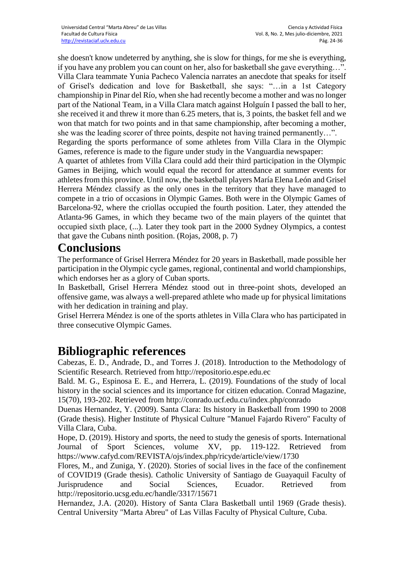she doesn't know undeterred by anything, she is slow for things, for me she is everything, if you have any problem you can count on her, also for basketball she gave everything…". Villa Clara teammate Yunia Pacheco Valencia narrates an anecdote that speaks for itself of Grisel's dedication and love for Basketball, she says: "…in a 1st Category championship in Pinar del Río, when she had recently become a mother and was no longer part of the National Team, in a Villa Clara match against Holguín I passed the ball to her, she received it and threw it more than 6.25 meters, that is, 3 points, the basket fell and we won that match for two points and in that same championship, after becoming a mother, she was the leading scorer of three points, despite not having trained permanently…".

Regarding the sports performance of some athletes from Villa Clara in the Olympic Games, reference is made to the figure under study in the Vanguardia newspaper:

A quartet of athletes from Villa Clara could add their third participation in the Olympic Games in Beijing, which would equal the record for attendance at summer events for athletes from this province. Until now, the basketball players María Elena León and Grisel Herrera Méndez classify as the only ones in the territory that they have managed to compete in a trio of occasions in Olympic Games. Both were in the Olympic Games of Barcelona-92, where the criollas occupied the fourth position. Later, they attended the Atlanta-96 Games, in which they became two of the main players of the quintet that occupied sixth place, (...). Later they took part in the 2000 Sydney Olympics, a contest that gave the Cubans ninth position. (Rojas, 2008, p. 7)

## **Conclusions**

The performance of Grisel Herrera Méndez for 20 years in Basketball, made possible her participation in the Olympic cycle games, regional, continental and world championships, which endorses her as a glory of Cuban sports.

In Basketball, Grisel Herrera Méndez stood out in three-point shots, developed an offensive game, was always a well-prepared athlete who made up for physical limitations with her dedication in training and play.

Grisel Herrera Méndez is one of the sports athletes in Villa Clara who has participated in three consecutive Olympic Games.

# **Bibliographic references**

Cabezas, E. D., Andrade, D., and Torres J. (2018). Introduction to the Methodology of Scientific Research. Retrieved from http://repositorio.espe.edu.ec

Bald. M. G., Espinosa E. E., and Herrera, L. (2019). Foundations of the study of local history in the social sciences and its importance for citizen education. Conrad Magazine, 15(70), 193-202. Retrieved from http://conrado.ucf.edu.cu/index.php/conrado

Duenas Hernandez, Y. (2009). Santa Clara: Its history in Basketball from 1990 to 2008 (Grade thesis). Higher Institute of Physical Culture "Manuel Fajardo Rivero" Faculty of Villa Clara, Cuba.

Hope, D. (2019). History and sports, the need to study the genesis of sports. International Journal of Sport Sciences, volume XV, pp. 119-122. Retrieved from https://www.cafyd.com/REVISTA/ojs/index.php/ricyde/article/view/1730

Flores, M., and Zuniga, Y. (2020). Stories of social lives in the face of the confinement of COVID19 (Grade thesis). Catholic University of Santiago de Guayaquil Faculty of Jurisprudence and Social Sciences, Ecuador. Retrieved from http://repositorio.ucsg.edu.ec/handle/3317/15671

Hernandez, J.A. (2020). History of Santa Clara Basketball until 1969 (Grade thesis). Central University "Marta Abreu" of Las Villas Faculty of Physical Culture, Cuba.